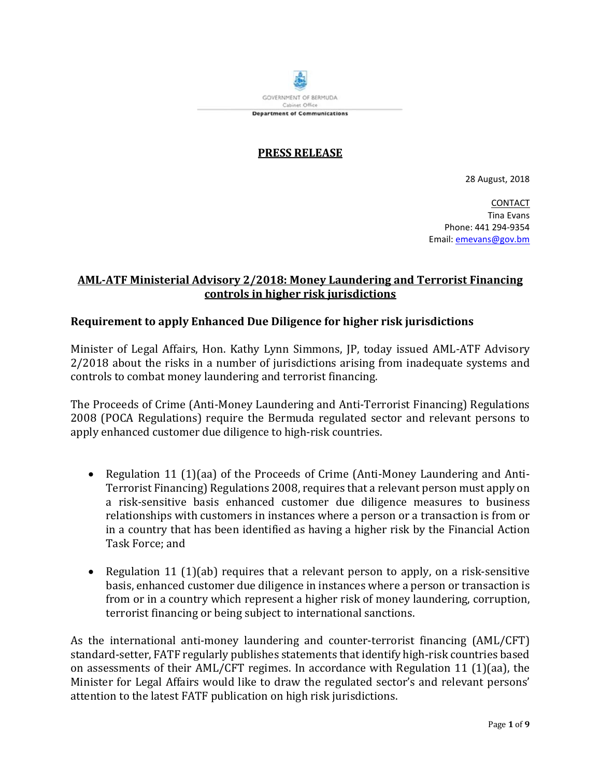

## **PRESS RELEASE**

28 August, 2018

CONTACT Tina Evans Phone: 441 294-9354 Email[: emevans@gov.bm](mailto:emevans@gov.bm)

# **AML-ATF Ministerial Advisory 2/2018: Money Laundering and Terrorist Financing controls in higher risk jurisdictions**

## **Requirement to apply Enhanced Due Diligence for higher risk jurisdictions**

Minister of Legal Affairs, Hon. Kathy Lynn Simmons, JP, today issued AML-ATF Advisory 2/2018 about the risks in a number of jurisdictions arising from inadequate systems and controls to combat money laundering and terrorist financing.

The Proceeds of Crime (Anti-Money Laundering and Anti-Terrorist Financing) Regulations 2008 (POCA Regulations) require the Bermuda regulated sector and relevant persons to apply enhanced customer due diligence to high-risk countries.

- Regulation 11 (1)(aa) of the Proceeds of Crime (Anti-Money Laundering and Anti-Terrorist Financing) Regulations 2008, requires that a relevant person must apply on a risk-sensitive basis enhanced customer due diligence measures to business relationships with customers in instances where a person or a transaction is from or in a country that has been identified as having a higher risk by the Financial Action Task Force; and
- Regulation 11 (1)(ab) requires that a relevant person to apply, on a risk-sensitive basis, enhanced customer due diligence in instances where a person or transaction is from or in a country which represent a higher risk of money laundering, corruption, terrorist financing or being subject to international sanctions.

As the international anti-money laundering and counter-terrorist financing (AML/CFT) standard-setter, FATF regularly publishes statements that identify high-risk countries based on assessments of their AML/CFT regimes. In accordance with Regulation 11 (1)(aa), the Minister for Legal Affairs would like to draw the regulated sector's and relevant persons' attention to the latest FATF publication on high risk jurisdictions.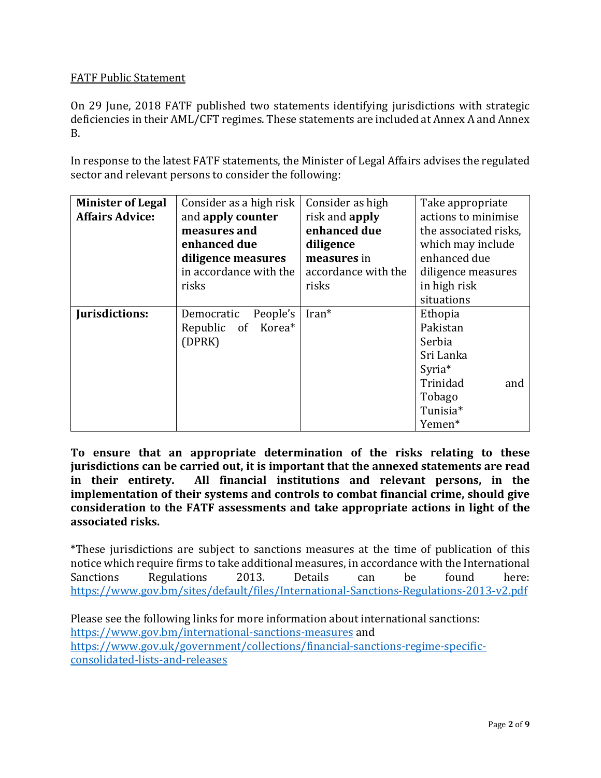# FATF Public Statement

On 29 June, 2018 FATF published two statements identifying jurisdictions with strategic deficiencies in their AML/CFT regimes. These statements are included at Annex A and Annex B.

In response to the latest FATF statements, the Minister of Legal Affairs advises the regulated sector and relevant persons to consider the following:

| <b>Minister of Legal</b> | Consider as a high risk | Consider as high      | Take appropriate      |
|--------------------------|-------------------------|-----------------------|-----------------------|
| <b>Affairs Advice:</b>   | and apply counter       | risk and <b>apply</b> | actions to minimise   |
|                          | measures and            | enhanced due          | the associated risks, |
|                          | enhanced due            | diligence             | which may include     |
|                          | diligence measures      | measures in           | enhanced due          |
|                          | in accordance with the  | accordance with the   | diligence measures    |
|                          | risks                   | risks                 | in high risk          |
|                          |                         |                       | situations            |
| Jurisdictions:           | People's<br>Democratic  | Iran*                 | Ethopia               |
|                          | Republic of Korea*      |                       | Pakistan              |
|                          | (DPRK)                  |                       | Serbia                |
|                          |                         |                       | Sri Lanka             |
|                          |                         |                       | Syria <sup>*</sup>    |
|                          |                         |                       | Trinidad<br>and       |
|                          |                         |                       | Tobago                |
|                          |                         |                       | Tunisia*              |
|                          |                         |                       | Yemen*                |

**To ensure that an appropriate determination of the risks relating to these jurisdictions can be carried out, it is important that the annexed statements are read in their entirety. All financial institutions and relevant persons, in the implementation of their systems and controls to combat financial crime, should give consideration to the FATF assessments and take appropriate actions in light of the associated risks.**

\*These jurisdictions are subject to sanctions measures at the time of publication of this notice which require firms to take additional measures, in accordance with the International<br>Sanctions Regulations 2013. Details can be found here: Sanctions Regulations 2013. Details can be found here: <https://www.gov.bm/sites/default/files/International-Sanctions-Regulations-2013-v2.pdf>

Please see the following links for more information about international sanctions: <https://www.gov.bm/international-sanctions-measures> and [https://www.gov.uk/government/collections/financial-sanctions-regime-specific](https://www.gov.uk/government/collections/financial-sanctions-regime-specific-consolidated-lists-and-releases)[consolidated-lists-and-releases](https://www.gov.uk/government/collections/financial-sanctions-regime-specific-consolidated-lists-and-releases)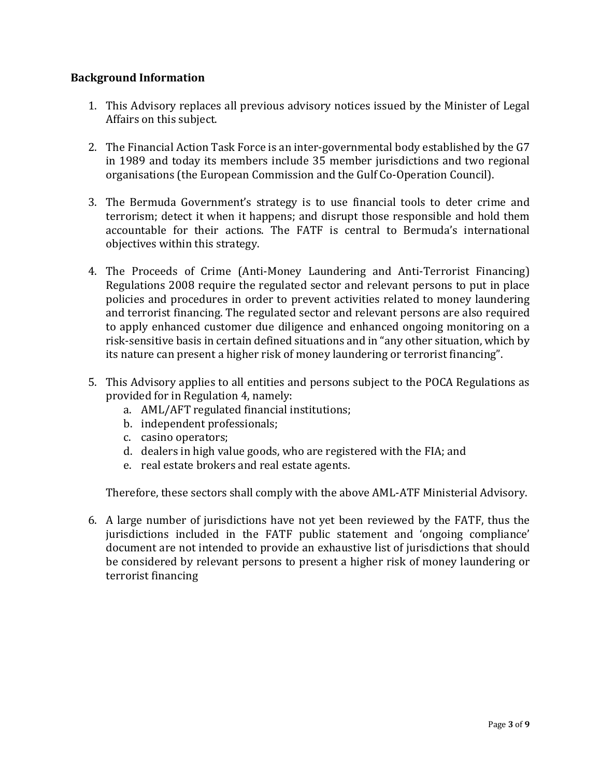# **Background Information**

- 1. This Advisory replaces all previous advisory notices issued by the Minister of Legal Affairs on this subject.
- 2. The Financial Action Task Force is an inter-governmental body established by the G7 in 1989 and today its members include 35 member jurisdictions and two regional organisations (the European Commission and the Gulf Co-Operation Council).
- 3. The Bermuda Government's strategy is to use financial tools to deter crime and terrorism; detect it when it happens; and disrupt those responsible and hold them accountable for their actions. The FATF is central to Bermuda's international objectives within this strategy.
- 4. The Proceeds of Crime (Anti-Money Laundering and Anti-Terrorist Financing) Regulations 2008 require the regulated sector and relevant persons to put in place policies and procedures in order to prevent activities related to money laundering and terrorist financing. The regulated sector and relevant persons are also required to apply enhanced customer due diligence and enhanced ongoing monitoring on a risk-sensitive basis in certain defined situations and in "any other situation, which by its nature can present a higher risk of money laundering or terrorist financing".
- 5. This Advisory applies to all entities and persons subject to the POCA Regulations as provided for in Regulation 4, namely:
	- a. AML/AFT regulated financial institutions;
	- b. independent professionals;
	- c. casino operators;
	- d. dealers in high value goods, who are registered with the FIA; and
	- e. real estate brokers and real estate agents.

Therefore, these sectors shall comply with the above AML-ATF Ministerial Advisory.

6. A large number of jurisdictions have not yet been reviewed by the FATF, thus the jurisdictions included in the FATF public statement and 'ongoing compliance' document are not intended to provide an exhaustive list of jurisdictions that should be considered by relevant persons to present a higher risk of money laundering or terrorist financing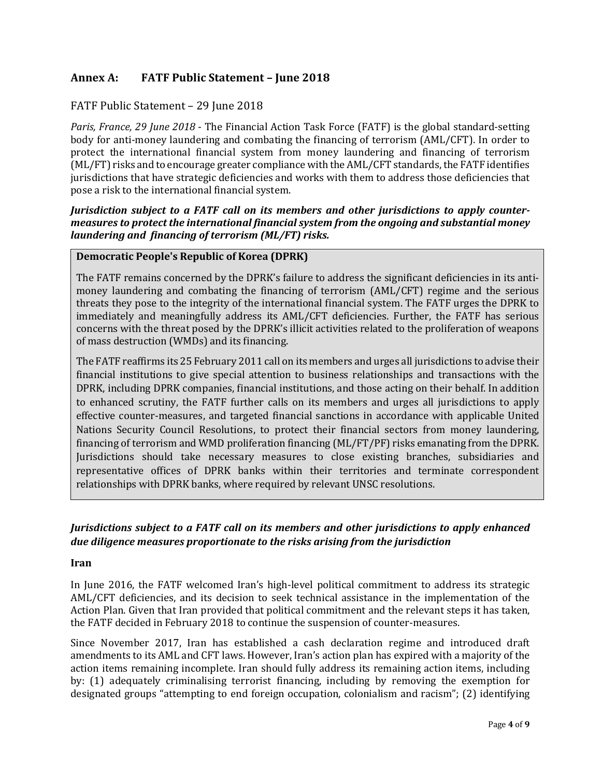# **Annex A: FATF Public Statement – June 2018**

## FATF Public Statement – 29 June 2018

*Paris, France, 29 June 2018* - The Financial Action Task Force (FATF) is the global standard-setting body for anti-money laundering and combating the financing of terrorism (AML/CFT). In order to protect the international financial system from money laundering and financing of terrorism (ML/FT) risks and to encourage greater compliance with the AML/CFT standards, the FATF identifies jurisdictions that have strategic deficiencies and works with them to address those deficiencies that pose a risk to the international financial system.

*Jurisdiction subject to a FATF call on its members and other jurisdictions to apply countermeasures to protect the international financial system from the ongoing and substantial money laundering and financing of terrorism (ML/FT) risks.*

### **Democratic People's Republic of Korea (DPRK)**

The FATF remains concerned by the DPRK's failure to address the significant deficiencies in its antimoney laundering and combating the financing of terrorism (AML/CFT) regime and the serious threats they pose to the integrity of the international financial system. The FATF urges the DPRK to immediately and meaningfully address its AML/CFT deficiencies. Further, the FATF has serious concerns with the threat posed by the DPRK's illicit activities related to the proliferation of weapons of mass destruction (WMDs) and its financing.

The FATF reaffirms its 25 February 2011 call on its members and urges all jurisdictions to advise their financial institutions to give special attention to business relationships and transactions with the DPRK, including DPRK companies, financial institutions, and those acting on their behalf. In addition to enhanced scrutiny, the FATF further calls on its members and urges all jurisdictions to apply effective counter-measures, and targeted financial sanctions in accordance with applicable United Nations Security Council Resolutions, to protect their financial sectors from money laundering, financing of terrorism and WMD proliferation financing (ML/FT/PF) risks emanating from the DPRK. Jurisdictions should take necessary measures to close existing branches, subsidiaries and representative offices of DPRK banks within their territories and terminate correspondent relationships with DPRK banks, where required by relevant UNSC resolutions.

### *Jurisdictions subject to a FATF call on its members and other jurisdictions to apply enhanced due diligence measures proportionate to the risks arising from the jurisdiction*

#### **Iran**

In June 2016, the FATF welcomed Iran's high-level political commitment to address its strategic AML/CFT deficiencies, and its decision to seek technical assistance in the implementation of the Action Plan. Given that Iran provided that political commitment and the relevant steps it has taken, the FATF decided in February 2018 to continue the suspension of counter-measures.

Since November 2017, Iran has established a cash declaration regime and introduced draft amendments to its AML and CFT laws. However, Iran's action plan has expired with a majority of the action items remaining incomplete. Iran should fully address its remaining action items, including by: (1) adequately criminalising terrorist financing, including by removing the exemption for designated groups "attempting to end foreign occupation, colonialism and racism"; (2) identifying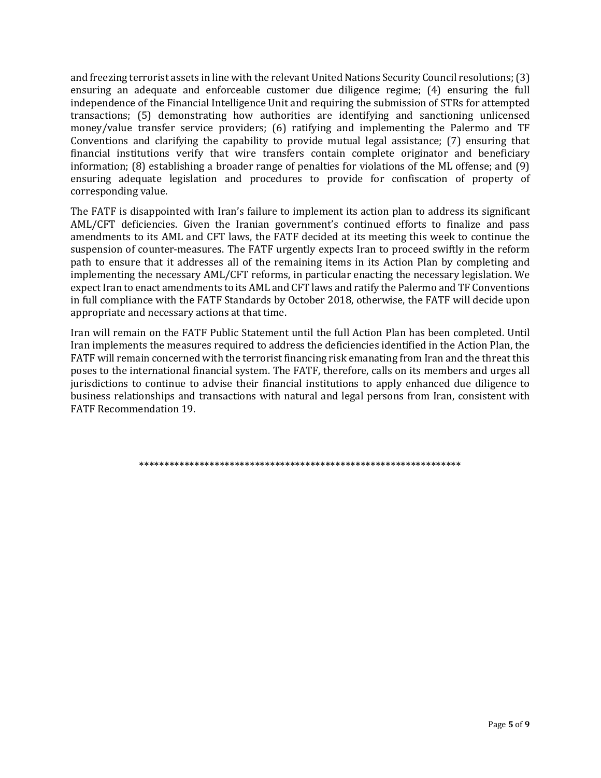and freezing terrorist assets in line with the relevant United Nations Security Council resolutions; (3) ensuring an adequate and enforceable customer due diligence regime; (4) ensuring the full independence of the Financial Intelligence Unit and requiring the submission of STRs for attempted transactions; (5) demonstrating how authorities are identifying and sanctioning unlicensed money/value transfer service providers; (6) ratifying and implementing the Palermo and TF Conventions and clarifying the capability to provide mutual legal assistance; (7) ensuring that financial institutions verify that wire transfers contain complete originator and beneficiary information; (8) establishing a broader range of penalties for violations of the ML offense; and (9) ensuring adequate legislation and procedures to provide for confiscation of property of corresponding value.

The FATF is disappointed with Iran's failure to implement its action plan to address its significant AML/CFT deficiencies. Given the Iranian government's continued efforts to finalize and pass amendments to its AML and CFT laws, the FATF decided at its meeting this week to continue the suspension of counter-measures. The FATF urgently expects Iran to proceed swiftly in the reform path to ensure that it addresses all of the remaining items in its Action Plan by completing and implementing the necessary AML/CFT reforms, in particular enacting the necessary legislation. We expect Iran to enact amendments to its AML and CFT laws and ratify the Palermo and TF Conventions in full compliance with the FATF Standards by October 2018, otherwise, the FATF will decide upon appropriate and necessary actions at that time.

Iran will remain on the FATF Public Statement until the full Action Plan has been completed. Until Iran implements the measures required to address the deficiencies identified in the Action Plan, the FATF will remain concerned with the terrorist financing risk emanating from Iran and the threat this poses to the international financial system. The FATF, therefore, calls on its members and urges all jurisdictions to continue to advise their financial institutions to apply enhanced due diligence to business relationships and transactions with natural and legal persons from Iran, consistent with FATF Recommendation 19.

\*\*\*\*\*\*\*\*\*\*\*\*\*\*\*\*\*\*\*\*\*\*\*\*\*\*\*\*\*\*\*\*\*\*\*\*\*\*\*\*\*\*\*\*\*\*\*\*\*\*\*\*\*\*\*\*\*\*\*\*\*\*\*\*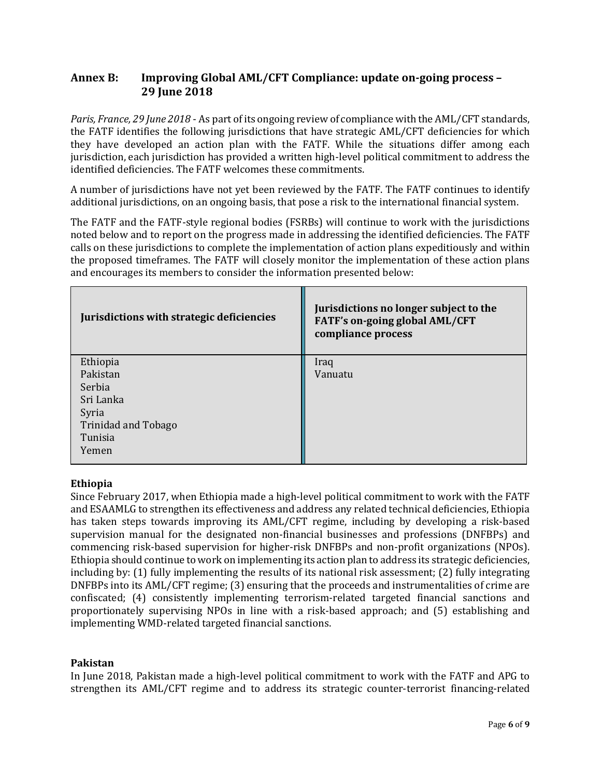# **Annex B: Improving Global AML/CFT Compliance: update on-going process – 29 June 2018**

*Paris, France, 29 June 2018* - As part of its ongoing review of compliance with the AML/CFT standards, the FATF identifies the following jurisdictions that have strategic AML/CFT deficiencies for which they have developed an action plan with the FATF. While the situations differ among each jurisdiction, each jurisdiction has provided a written high-level political commitment to address the identified deficiencies. The FATF welcomes these commitments.

A number of jurisdictions have not yet been reviewed by the FATF. The FATF continues to identify additional jurisdictions, on an ongoing basis, that pose a risk to the international financial system.

The FATF and the FATF-style regional bodies (FSRBs) will continue to work with the jurisdictions noted below and to report on the progress made in addressing the identified deficiencies. The FATF calls on these jurisdictions to complete the implementation of action plans expeditiously and within the proposed timeframes. The FATF will closely monitor the implementation of these action plans and encourages its members to consider the information presented below:

| Jurisdictions with strategic deficiencies | Jurisdictions no longer subject to the<br>FATF's on-going global AML/CFT<br>compliance process |
|-------------------------------------------|------------------------------------------------------------------------------------------------|
| Ethiopia                                  | Iraq                                                                                           |
| Pakistan                                  | Vanuatu                                                                                        |
| Serbia                                    |                                                                                                |
| Sri Lanka                                 |                                                                                                |
| Syria                                     |                                                                                                |
| <b>Trinidad and Tobago</b>                |                                                                                                |
| Tunisia                                   |                                                                                                |
| Yemen                                     |                                                                                                |

### **Ethiopia**

Since February 2017, when Ethiopia made a high-level political commitment to work with the FATF and ESAAMLG to strengthen its effectiveness and address any related technical deficiencies, Ethiopia has taken steps towards improving its AML/CFT regime, including by developing a risk-based supervision manual for the designated non-financial businesses and professions (DNFBPs) and commencing risk-based supervision for higher-risk DNFBPs and non-profit organizations (NPOs). Ethiopia should continue to work on implementing its action plan to address its strategic deficiencies, including by: (1) fully implementing the results of its national risk assessment; (2) fully integrating DNFBPs into its AML/CFT regime; (3) ensuring that the proceeds and instrumentalities of crime are confiscated; (4) consistently implementing terrorism-related targeted financial sanctions and proportionately supervising NPOs in line with a risk-based approach; and (5) establishing and implementing WMD-related targeted financial sanctions.

### **Pakistan**

In June 2018, Pakistan made a high-level political commitment to work with the FATF and APG to strengthen its AML/CFT regime and to address its strategic counter-terrorist financing-related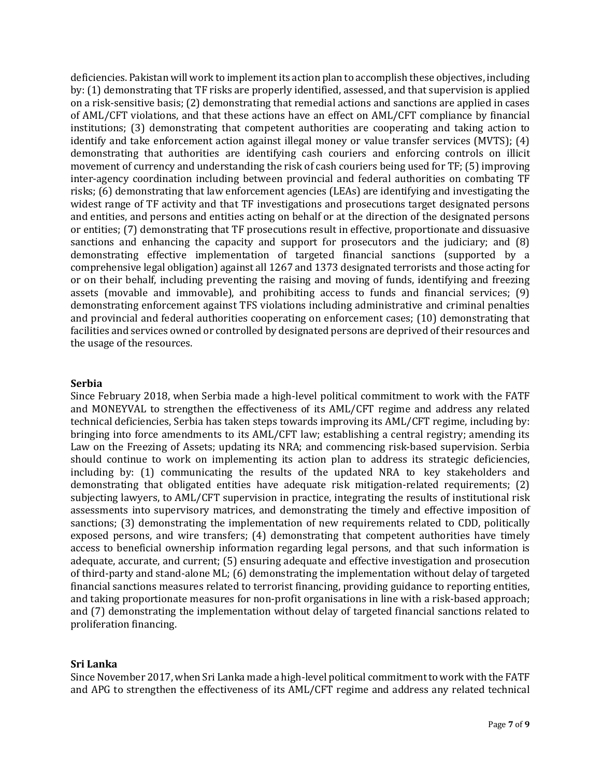deficiencies. Pakistan will work to implement its action plan to accomplish these objectives, including by: (1) demonstrating that TF risks are properly identified, assessed, and that supervision is applied on a risk-sensitive basis; (2) demonstrating that remedial actions and sanctions are applied in cases of AML/CFT violations, and that these actions have an effect on AML/CFT compliance by financial institutions; (3) demonstrating that competent authorities are cooperating and taking action to identify and take enforcement action against illegal money or value transfer services (MVTS); (4) demonstrating that authorities are identifying cash couriers and enforcing controls on illicit movement of currency and understanding the risk of cash couriers being used for TF; (5) improving inter-agency coordination including between provincial and federal authorities on combating TF risks; (6) demonstrating that law enforcement agencies (LEAs) are identifying and investigating the widest range of TF activity and that TF investigations and prosecutions target designated persons and entities, and persons and entities acting on behalf or at the direction of the designated persons or entities; (7) demonstrating that TF prosecutions result in effective, proportionate and dissuasive sanctions and enhancing the capacity and support for prosecutors and the judiciary; and (8) demonstrating effective implementation of targeted financial sanctions (supported by a comprehensive legal obligation) against all 1267 and 1373 designated terrorists and those acting for or on their behalf, including preventing the raising and moving of funds, identifying and freezing assets (movable and immovable), and prohibiting access to funds and financial services; (9) demonstrating enforcement against TFS violations including administrative and criminal penalties and provincial and federal authorities cooperating on enforcement cases; (10) demonstrating that facilities and services owned or controlled by designated persons are deprived of their resources and the usage of the resources.

#### **Serbia**

Since February 2018, when Serbia made a high-level political commitment to work with the FATF and MONEYVAL to strengthen the effectiveness of its AML/CFT regime and address any related technical deficiencies, Serbia has taken steps towards improving its AML/CFT regime, including by: bringing into force amendments to its AML/CFT law; establishing a central registry; amending its Law on the Freezing of Assets; updating its NRA; and commencing risk-based supervision. Serbia should continue to work on implementing its action plan to address its strategic deficiencies, including by: (1) communicating the results of the updated NRA to key stakeholders and demonstrating that obligated entities have adequate risk mitigation-related requirements; (2) subjecting lawyers, to AML/CFT supervision in practice, integrating the results of institutional risk assessments into supervisory matrices, and demonstrating the timely and effective imposition of sanctions; (3) demonstrating the implementation of new requirements related to CDD, politically exposed persons, and wire transfers; (4) demonstrating that competent authorities have timely access to beneficial ownership information regarding legal persons, and that such information is adequate, accurate, and current; (5) ensuring adequate and effective investigation and prosecution of third-party and stand-alone ML; (6) demonstrating the implementation without delay of targeted financial sanctions measures related to terrorist financing, providing guidance to reporting entities, and taking proportionate measures for non-profit organisations in line with a risk-based approach; and (7) demonstrating the implementation without delay of targeted financial sanctions related to proliferation financing.

### **Sri Lanka**

Since November 2017, when Sri Lanka made a high-level political commitment to work with the FATF and APG to strengthen the effectiveness of its AML/CFT regime and address any related technical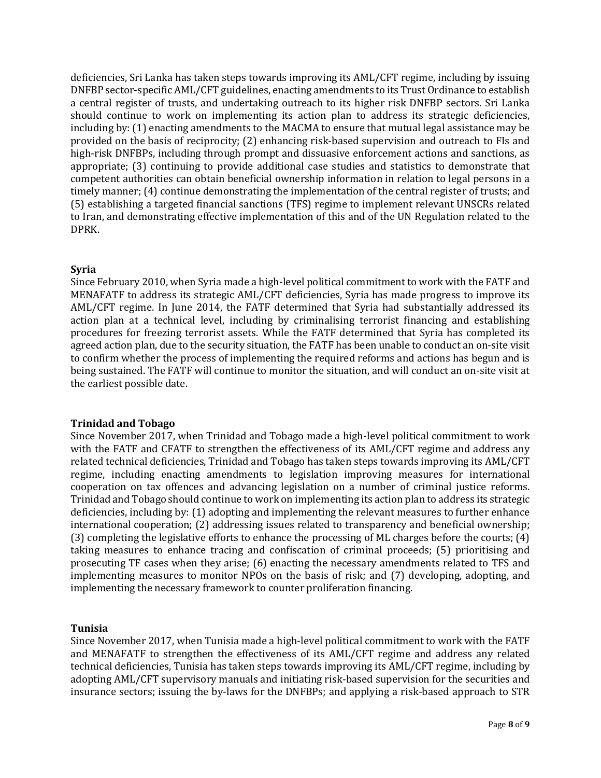deficiencies, Sri Lanka has taken steps towards improving its AML/CFT regime, including by issuing DNFBP sector-specific AML/CFT guidelines, enacting amendments to its Trust Ordinance to establish a central register of trusts, and undertaking outreach to its higher risk DNFBP sectors. Sri Lanka should continue to work on implementing its action plan to address its strategic deficiencies, including by: (1) enacting amendments to the MACMA to ensure that mutual legal assistance may be provided on the basis of reciprocity; (2) enhancing risk-based supervision and outreach to FIs and high-risk DNFBPs, including through prompt and dissuasive enforcement actions and sanctions, as appropriate; (3) continuing to provide additional case studies and statistics to demonstrate that competent authorities can obtain beneficial ownership information in relation to legal persons in a timely manner; (4) continue demonstrating the implementation of the central register of trusts; and (5) establishing a targeted financial sanctions (TFS) regime to implement relevant UNSCRs related to Iran, and demonstrating effective implementation of this and of the UN Regulation related to the DPRK.

### **Syria**

Since February 2010, when Syria made a high-level political commitment to work with the FATF and MENAFATF to address its strategic AML/CFT deficiencies, Syria has made progress to improve its AML/CFT regime. In June 2014, the FATF determined that Syria had substantially addressed its action plan at a technical level, including by criminalising terrorist financing and establishing procedures for freezing terrorist assets. While the FATF determined that Syria has completed its agreed action plan, due to the security situation, the FATF has been unable to conduct an on-site visit to confirm whether the process of implementing the required reforms and actions has begun and is being sustained. The FATF will continue to monitor the situation, and will conduct an on-site visit at the earliest possible date.

### **Trinidad and Tobago**

Since November 2017, when Trinidad and Tobago made a high-level political commitment to work with the FATF and CFATF to strengthen the effectiveness of its AML/CFT regime and address any related technical deficiencies, Trinidad and Tobago has taken steps towards improving its AML/CFT regime, including enacting amendments to legislation improving measures for international cooperation on tax offences and advancing legislation on a number of criminal justice reforms. Trinidad and Tobago should continue to work on implementing its action plan to address its strategic deficiencies, including by: (1) adopting and implementing the relevant measures to further enhance international cooperation; (2) addressing issues related to transparency and beneficial ownership; (3) completing the legislative efforts to enhance the processing of ML charges before the courts; (4) taking measures to enhance tracing and confiscation of criminal proceeds; (5) prioritising and prosecuting TF cases when they arise; (6) enacting the necessary amendments related to TFS and implementing measures to monitor NPOs on the basis of risk; and (7) developing, adopting, and implementing the necessary framework to counter proliferation financing.

#### **Tunisia**

Since November 2017, when Tunisia made a high-level political commitment to work with the FATF and MENAFATF to strengthen the effectiveness of its AML/CFT regime and address any related technical deficiencies, Tunisia has taken steps towards improving its AML/CFT regime, including by adopting AML/CFT supervisory manuals and initiating risk-based supervision for the securities and insurance sectors; issuing the by-laws for the DNFBPs; and applying a risk-based approach to STR